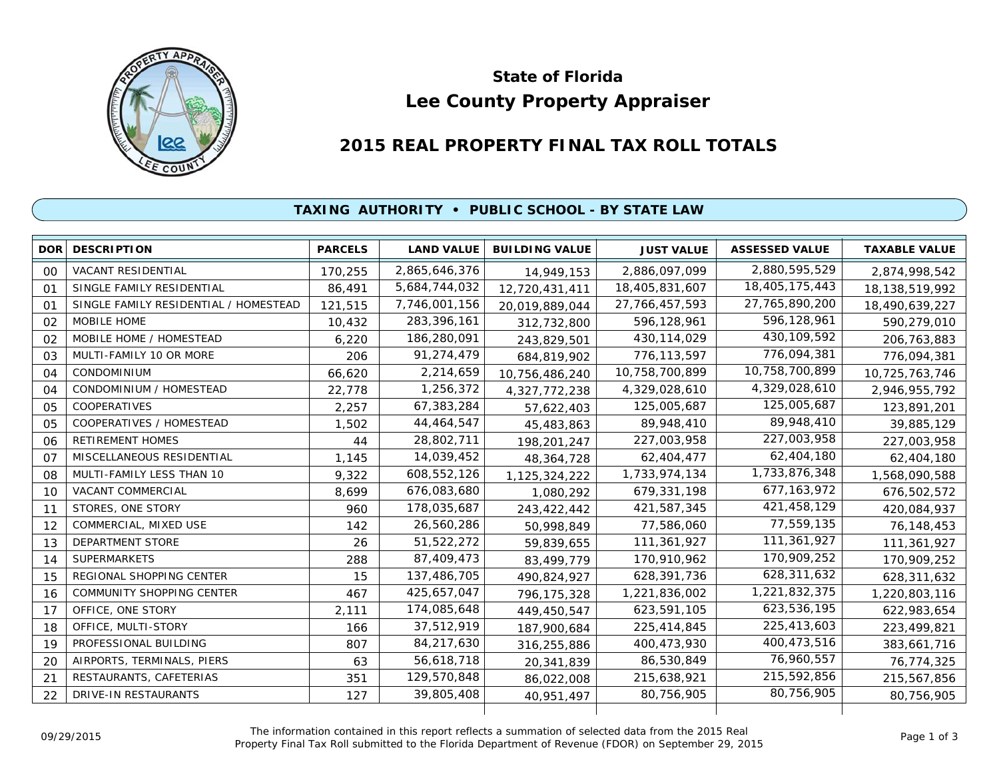

# **Lee County Property Appraiser State of Florida**

# **2015 REAL PROPERTY FINAL TAX ROLL TOTALS**

## **TAXING AUTHORITY • PUBLIC SCHOOL - BY STATE LAW**

| <b>DOR</b>     | <b>DESCRIPTION</b>                    | <b>PARCELS</b> | <b>LAND VALUE</b> | <b>BUILDING VALUE</b> | <b>JUST VALUE</b> | <b>ASSESSED VALUE</b> | <b>TAXABLE VALUE</b> |
|----------------|---------------------------------------|----------------|-------------------|-----------------------|-------------------|-----------------------|----------------------|
| 00             | <b>VACANT RESIDENTIAL</b>             | 170,255        | 2,865,646,376     | 14,949,153            | 2,886,097,099     | 2,880,595,529         | 2,874,998,542        |
| 01             | SINGLE FAMILY RESIDENTIAL             | 86,491         | 5,684,744,032     | 12,720,431,411        | 18,405,831,607    | 18,405,175,443        | 18, 138, 519, 992    |
| O <sub>1</sub> | SINGLE FAMILY RESIDENTIAL / HOMESTEAD | 121,515        | 7,746,001,156     | 20,019,889,044        | 27, 766, 457, 593 | 27,765,890,200        | 18,490,639,227       |
| 02             | MOBILE HOME                           | 10,432         | 283,396,161       | 312,732,800           | 596,128,961       | 596,128,961           | 590,279,010          |
| 02             | MOBILE HOME / HOMESTEAD               | 6,220          | 186,280,091       | 243,829,501           | 430, 114, 029     | 430,109,592           | 206,763,883          |
| 03             | MULTI-FAMILY 10 OR MORE               | 206            | 91,274,479        | 684,819,902           | 776,113,597       | 776,094,381           | 776,094,381          |
| 04             | CONDOMINIUM                           | 66,620         | 2,214,659         | 10,756,486,240        | 10,758,700,899    | 10,758,700,899        | 10,725,763,746       |
| 04             | CONDOMINIUM / HOMESTEAD               | 22,778         | 1,256,372         | 4,327,772,238         | 4,329,028,610     | 4,329,028,610         | 2,946,955,792        |
| 05             | <b>COOPERATIVES</b>                   | 2,257          | 67,383,284        | 57,622,403            | 125,005,687       | 125,005,687           | 123,891,201          |
| 05             | COOPERATIVES / HOMESTEAD              | 1,502          | 44,464,547        | 45,483,863            | 89,948,410        | 89,948,410            | 39,885,129           |
| 06             | <b>RETIREMENT HOMES</b>               | 44             | 28,802,711        | 198,201,247           | 227,003,958       | 227,003,958           | 227,003,958          |
| 07             | MISCELLANEOUS RESIDENTIAL             | 1,145          | 14,039,452        | 48,364,728            | 62,404,477        | 62,404,180            | 62,404,180           |
| 08             | MULTI-FAMILY LESS THAN 10             | 9,322          | 608,552,126       | 1,125,324,222         | 1,733,974,134     | 1,733,876,348         | 1,568,090,588        |
| 10             | VACANT COMMERCIAL                     | 8,699          | 676,083,680       | 1,080,292             | 679,331,198       | 677, 163, 972         | 676,502,572          |
| 11             | STORES, ONE STORY                     | 960            | 178,035,687       | 243,422,442           | 421,587,345       | 421,458,129           | 420,084,937          |
| 12             | COMMERCIAL, MIXED USE                 | 142            | 26,560,286        | 50,998,849            | 77,586,060        | 77,559,135            | 76,148,453           |
| 13             | <b>DEPARTMENT STORE</b>               | 26             | 51,522,272        | 59,839,655            | 111,361,927       | 111,361,927           | 111,361,927          |
| 14             | <b>SUPERMARKETS</b>                   | 288            | 87,409,473        | 83,499,779            | 170,910,962       | 170,909,252           | 170,909,252          |
| 15             | REGIONAL SHOPPING CENTER              | 15             | 137,486,705       | 490,824,927           | 628,391,736       | 628,311,632           | 628,311,632          |
| 16             | COMMUNITY SHOPPING CENTER             | 467            | 425,657,047       | 796, 175, 328         | 1,221,836,002     | 1,221,832,375         | 1,220,803,116        |
| 17             | OFFICE, ONE STORY                     | 2,111          | 174,085,648       | 449,450,547           | 623,591,105       | 623,536,195           | 622,983,654          |
| 18             | OFFICE, MULTI-STORY                   | 166            | 37,512,919        | 187,900,684           | 225,414,845       | 225,413,603           | 223,499,821          |
| 19             | PROFESSIONAL BUILDING                 | 807            | 84,217,630        | 316,255,886           | 400,473,930       | 400,473,516           | 383,661,716          |
| 20             | AIRPORTS, TERMINALS, PIERS            | 63             | 56,618,718        | 20,341,839            | 86,530,849        | 76,960,557            | 76,774,325           |
| 21             | RESTAURANTS, CAFETERIAS               | 351            | 129,570,848       | 86,022,008            | 215,638,921       | 215,592,856           | 215,567,856          |
| 22             | DRIVE-IN RESTAURANTS                  | 127            | 39,805,408        | 40,951,497            | 80,756,905        | 80,756,905            | 80,756,905           |
|                |                                       |                |                   |                       |                   |                       |                      |

The information contained in this report reflects a summation of selected data from the 2015 Real Ine information contained in this report reflects a summation of selected data from the 2015 Real<br>Property Final Tax Roll submitted to the Florida Department of Revenue (FDOR) on September 29, 2015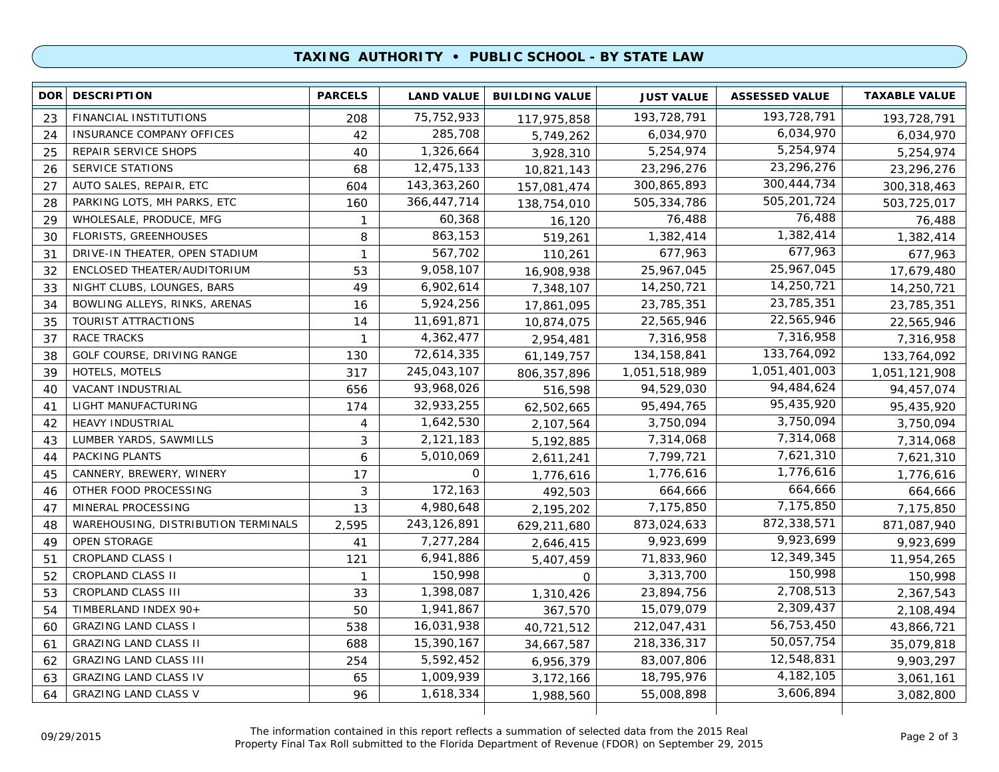### **TAXING AUTHORITY • PUBLIC SCHOOL - BY STATE LAW**

| 193,728,791<br>75,752,933<br>FINANCIAL INSTITUTIONS<br>193,728,791<br>23<br>193,728,791<br>208<br>117,975,858<br>6,034,970<br>285,708<br>INSURANCE COMPANY OFFICES<br>6,034,970<br>42<br>24<br>5,749,262<br>6,034,970<br>5,254,974<br>1,326,664<br>5,254,974<br>REPAIR SERVICE SHOPS<br>25<br>40<br>5,254,974<br>3,928,310<br>23,296,276<br>12,475,133<br><b>SERVICE STATIONS</b><br>23,296,276<br>68<br>26<br>23,296,276<br>10,821,143<br>300,444,734<br>143, 363, 260<br>AUTO SALES, REPAIR, ETC<br>300,865,893<br>27<br>604<br>157,081,474<br>300,318,463<br>505,201,724<br>366,447,714<br>PARKING LOTS, MH PARKS, ETC<br>505,334,786<br>28<br>160<br>503,725,017<br>138,754,010<br>76,488<br>WHOLESALE, PRODUCE, MFG<br>60,368<br>76,488<br>29<br>$\mathbf{1}$<br>16,120<br>76,488<br>1,382,414<br>863,153<br>1,382,414<br>FLORISTS, GREENHOUSES<br>8<br>30<br>519,261<br>1,382,414<br>677,963<br>567,702<br>677,963<br>DRIVE-IN THEATER, OPEN STADIUM<br>$\mathbf{1}$<br>31<br>677,963<br>110,261<br>25,967,045<br>9,058,107<br>25,967,045<br>ENCLOSED THEATER/AUDITORIUM<br>53<br>32<br>17,679,480<br>16,908,938<br>14,250,721<br>6,902,614<br>NIGHT CLUBS, LOUNGES, BARS<br>14,250,721<br>33<br>49<br>7,348,107<br>14,250,721<br>23,785,351<br>5,924,256<br>BOWLING ALLEYS, RINKS, ARENAS<br>23,785,351<br>16<br>34<br>17,861,095<br>23,785,351<br>22,565,946<br>11,691,871<br>TOURIST ATTRACTIONS<br>22,565,946<br>35<br>14<br>10,874,075<br>22,565,946<br>7,316,958<br>4,362,477<br>RACE TRACKS<br>7,316,958<br>37<br>7,316,958<br>-1<br>2,954,481<br>133,764,092<br>72,614,335<br>GOLF COURSE, DRIVING RANGE<br>134, 158, 841<br>38<br>130<br>61, 149, 757<br>133,764,092<br>1,051,401,003<br>317<br>245,043,107<br>HOTELS, MOTELS<br>1,051,518,989<br>39<br>806, 357, 896<br>1,051,121,908<br>94,484,624<br>93,968,026<br>VACANT INDUSTRIAL<br>656<br>94,529,030<br>40<br>94,457,074<br>516,598<br>95,435,920<br>32,933,255<br>95,494,765<br>LIGHT MANUFACTURING<br>174<br>41<br>95,435,920<br>62,502,665<br>3,750,094<br>1,642,530<br>3,750,094<br><b>HEAVY INDUSTRIAL</b><br>42<br>3,750,094<br>4<br>2,107,564<br>7,314,068<br>2,121,183<br>LUMBER YARDS, SAWMILLS<br>3<br>7,314,068<br>43<br>7,314,068<br>5,192,885<br>7,621,310<br>PACKING PLANTS<br>5,010,069<br>7,799,721<br>44<br>6<br>7,621,310<br>2,611,241<br>1,776,616<br>CANNERY, BREWERY, WINERY<br>$\mathbf 0$<br>1,776,616<br>17<br>1,776,616<br>45<br>1,776,616<br>664,666<br>172,163<br>OTHER FOOD PROCESSING<br>3<br>664,666<br>664,666<br>46<br>492,503<br>7,175,850<br>4,980,648<br>MINERAL PROCESSING<br>7,175,850<br>47<br>13<br>7,175,850<br>2,195,202<br>872,338,571<br>2,595<br>243,126,891<br>873,024,633<br>WAREHOUSING, DISTRIBUTION TERMINALS<br>871,087,940<br>48<br>629,211,680<br>9,923,699<br>7,277,284<br>9,923,699<br>49<br><b>OPEN STORAGE</b><br>41<br>9,923,699<br>2,646,415<br>12,349,345<br>6,941,886<br><b>CROPLAND CLASS I</b><br>71,833,960<br>51<br>121<br>11,954,265<br>5,407,459<br>150,998<br>150,998<br>CROPLAND CLASS II<br>3,313,700<br>52<br>150,998<br>$\mathbf{1}$<br>$\mathbf 0$<br>2,708,513<br>1,398,087<br>CROPLAND CLASS III<br>23,894,756<br>53<br>33<br>2,367,543<br>1,310,426<br>2,309,437<br>1,941,867<br>TIMBERLAND INDEX 90+<br>50<br>15,079,079<br>54<br>2,108,494<br>367,570<br>56,753,450<br>16,031,938<br><b>GRAZING LAND CLASS I</b><br>212,047,431<br>60<br>538<br>43,866,721<br>40,721,512<br>50,057,754<br>15,390,167<br>218,336,317<br><b>GRAZING LAND CLASS II</b><br>688<br>61<br>35,079,818<br>34,667,587<br>12,548,831<br>5,592,452<br>83,007,806<br><b>GRAZING LAND CLASS III</b><br>254<br>62<br>6,956,379<br>9,903,297<br>4, 182, 105<br>1,009,939<br><b>GRAZING LAND CLASS IV</b><br>18,795,976<br>63<br>65<br>3,172,166<br>3,061,161<br>3,606,894<br><b>GRAZING LAND CLASS V</b><br>1,618,334<br>96<br>55,008,898<br>64 | <b>DOR</b> | <b>DESCRIPTION</b> | <b>PARCELS</b> | <b>LAND VALUE</b> | <b>BUILDING VALUE</b> | <b>JUST VALUE</b> | <b>ASSESSED VALUE</b> | <b>TAXABLE VALUE</b> |
|----------------------------------------------------------------------------------------------------------------------------------------------------------------------------------------------------------------------------------------------------------------------------------------------------------------------------------------------------------------------------------------------------------------------------------------------------------------------------------------------------------------------------------------------------------------------------------------------------------------------------------------------------------------------------------------------------------------------------------------------------------------------------------------------------------------------------------------------------------------------------------------------------------------------------------------------------------------------------------------------------------------------------------------------------------------------------------------------------------------------------------------------------------------------------------------------------------------------------------------------------------------------------------------------------------------------------------------------------------------------------------------------------------------------------------------------------------------------------------------------------------------------------------------------------------------------------------------------------------------------------------------------------------------------------------------------------------------------------------------------------------------------------------------------------------------------------------------------------------------------------------------------------------------------------------------------------------------------------------------------------------------------------------------------------------------------------------------------------------------------------------------------------------------------------------------------------------------------------------------------------------------------------------------------------------------------------------------------------------------------------------------------------------------------------------------------------------------------------------------------------------------------------------------------------------------------------------------------------------------------------------------------------------------------------------------------------------------------------------------------------------------------------------------------------------------------------------------------------------------------------------------------------------------------------------------------------------------------------------------------------------------------------------------------------------------------------------------------------------------------------------------------------------------------------------------------------------------------------------------------------------------------------------------------------------------------------------------------------------------------------------------------------------------------------------------------------------------------------------------------------------------------------------------------------------------------------------------------------------------------------------------------------------------------------------------------------------------------------------------------------------------------------------------------------------------------------------------------------------------------|------------|--------------------|----------------|-------------------|-----------------------|-------------------|-----------------------|----------------------|
|                                                                                                                                                                                                                                                                                                                                                                                                                                                                                                                                                                                                                                                                                                                                                                                                                                                                                                                                                                                                                                                                                                                                                                                                                                                                                                                                                                                                                                                                                                                                                                                                                                                                                                                                                                                                                                                                                                                                                                                                                                                                                                                                                                                                                                                                                                                                                                                                                                                                                                                                                                                                                                                                                                                                                                                                                                                                                                                                                                                                                                                                                                                                                                                                                                                                                                                                                                                                                                                                                                                                                                                                                                                                                                                                                                                                                                                                      |            |                    |                |                   |                       |                   |                       |                      |
|                                                                                                                                                                                                                                                                                                                                                                                                                                                                                                                                                                                                                                                                                                                                                                                                                                                                                                                                                                                                                                                                                                                                                                                                                                                                                                                                                                                                                                                                                                                                                                                                                                                                                                                                                                                                                                                                                                                                                                                                                                                                                                                                                                                                                                                                                                                                                                                                                                                                                                                                                                                                                                                                                                                                                                                                                                                                                                                                                                                                                                                                                                                                                                                                                                                                                                                                                                                                                                                                                                                                                                                                                                                                                                                                                                                                                                                                      |            |                    |                |                   |                       |                   |                       |                      |
|                                                                                                                                                                                                                                                                                                                                                                                                                                                                                                                                                                                                                                                                                                                                                                                                                                                                                                                                                                                                                                                                                                                                                                                                                                                                                                                                                                                                                                                                                                                                                                                                                                                                                                                                                                                                                                                                                                                                                                                                                                                                                                                                                                                                                                                                                                                                                                                                                                                                                                                                                                                                                                                                                                                                                                                                                                                                                                                                                                                                                                                                                                                                                                                                                                                                                                                                                                                                                                                                                                                                                                                                                                                                                                                                                                                                                                                                      |            |                    |                |                   |                       |                   |                       |                      |
|                                                                                                                                                                                                                                                                                                                                                                                                                                                                                                                                                                                                                                                                                                                                                                                                                                                                                                                                                                                                                                                                                                                                                                                                                                                                                                                                                                                                                                                                                                                                                                                                                                                                                                                                                                                                                                                                                                                                                                                                                                                                                                                                                                                                                                                                                                                                                                                                                                                                                                                                                                                                                                                                                                                                                                                                                                                                                                                                                                                                                                                                                                                                                                                                                                                                                                                                                                                                                                                                                                                                                                                                                                                                                                                                                                                                                                                                      |            |                    |                |                   |                       |                   |                       |                      |
|                                                                                                                                                                                                                                                                                                                                                                                                                                                                                                                                                                                                                                                                                                                                                                                                                                                                                                                                                                                                                                                                                                                                                                                                                                                                                                                                                                                                                                                                                                                                                                                                                                                                                                                                                                                                                                                                                                                                                                                                                                                                                                                                                                                                                                                                                                                                                                                                                                                                                                                                                                                                                                                                                                                                                                                                                                                                                                                                                                                                                                                                                                                                                                                                                                                                                                                                                                                                                                                                                                                                                                                                                                                                                                                                                                                                                                                                      |            |                    |                |                   |                       |                   |                       |                      |
|                                                                                                                                                                                                                                                                                                                                                                                                                                                                                                                                                                                                                                                                                                                                                                                                                                                                                                                                                                                                                                                                                                                                                                                                                                                                                                                                                                                                                                                                                                                                                                                                                                                                                                                                                                                                                                                                                                                                                                                                                                                                                                                                                                                                                                                                                                                                                                                                                                                                                                                                                                                                                                                                                                                                                                                                                                                                                                                                                                                                                                                                                                                                                                                                                                                                                                                                                                                                                                                                                                                                                                                                                                                                                                                                                                                                                                                                      |            |                    |                |                   |                       |                   |                       |                      |
|                                                                                                                                                                                                                                                                                                                                                                                                                                                                                                                                                                                                                                                                                                                                                                                                                                                                                                                                                                                                                                                                                                                                                                                                                                                                                                                                                                                                                                                                                                                                                                                                                                                                                                                                                                                                                                                                                                                                                                                                                                                                                                                                                                                                                                                                                                                                                                                                                                                                                                                                                                                                                                                                                                                                                                                                                                                                                                                                                                                                                                                                                                                                                                                                                                                                                                                                                                                                                                                                                                                                                                                                                                                                                                                                                                                                                                                                      |            |                    |                |                   |                       |                   |                       |                      |
|                                                                                                                                                                                                                                                                                                                                                                                                                                                                                                                                                                                                                                                                                                                                                                                                                                                                                                                                                                                                                                                                                                                                                                                                                                                                                                                                                                                                                                                                                                                                                                                                                                                                                                                                                                                                                                                                                                                                                                                                                                                                                                                                                                                                                                                                                                                                                                                                                                                                                                                                                                                                                                                                                                                                                                                                                                                                                                                                                                                                                                                                                                                                                                                                                                                                                                                                                                                                                                                                                                                                                                                                                                                                                                                                                                                                                                                                      |            |                    |                |                   |                       |                   |                       |                      |
|                                                                                                                                                                                                                                                                                                                                                                                                                                                                                                                                                                                                                                                                                                                                                                                                                                                                                                                                                                                                                                                                                                                                                                                                                                                                                                                                                                                                                                                                                                                                                                                                                                                                                                                                                                                                                                                                                                                                                                                                                                                                                                                                                                                                                                                                                                                                                                                                                                                                                                                                                                                                                                                                                                                                                                                                                                                                                                                                                                                                                                                                                                                                                                                                                                                                                                                                                                                                                                                                                                                                                                                                                                                                                                                                                                                                                                                                      |            |                    |                |                   |                       |                   |                       |                      |
|                                                                                                                                                                                                                                                                                                                                                                                                                                                                                                                                                                                                                                                                                                                                                                                                                                                                                                                                                                                                                                                                                                                                                                                                                                                                                                                                                                                                                                                                                                                                                                                                                                                                                                                                                                                                                                                                                                                                                                                                                                                                                                                                                                                                                                                                                                                                                                                                                                                                                                                                                                                                                                                                                                                                                                                                                                                                                                                                                                                                                                                                                                                                                                                                                                                                                                                                                                                                                                                                                                                                                                                                                                                                                                                                                                                                                                                                      |            |                    |                |                   |                       |                   |                       |                      |
|                                                                                                                                                                                                                                                                                                                                                                                                                                                                                                                                                                                                                                                                                                                                                                                                                                                                                                                                                                                                                                                                                                                                                                                                                                                                                                                                                                                                                                                                                                                                                                                                                                                                                                                                                                                                                                                                                                                                                                                                                                                                                                                                                                                                                                                                                                                                                                                                                                                                                                                                                                                                                                                                                                                                                                                                                                                                                                                                                                                                                                                                                                                                                                                                                                                                                                                                                                                                                                                                                                                                                                                                                                                                                                                                                                                                                                                                      |            |                    |                |                   |                       |                   |                       |                      |
|                                                                                                                                                                                                                                                                                                                                                                                                                                                                                                                                                                                                                                                                                                                                                                                                                                                                                                                                                                                                                                                                                                                                                                                                                                                                                                                                                                                                                                                                                                                                                                                                                                                                                                                                                                                                                                                                                                                                                                                                                                                                                                                                                                                                                                                                                                                                                                                                                                                                                                                                                                                                                                                                                                                                                                                                                                                                                                                                                                                                                                                                                                                                                                                                                                                                                                                                                                                                                                                                                                                                                                                                                                                                                                                                                                                                                                                                      |            |                    |                |                   |                       |                   |                       |                      |
|                                                                                                                                                                                                                                                                                                                                                                                                                                                                                                                                                                                                                                                                                                                                                                                                                                                                                                                                                                                                                                                                                                                                                                                                                                                                                                                                                                                                                                                                                                                                                                                                                                                                                                                                                                                                                                                                                                                                                                                                                                                                                                                                                                                                                                                                                                                                                                                                                                                                                                                                                                                                                                                                                                                                                                                                                                                                                                                                                                                                                                                                                                                                                                                                                                                                                                                                                                                                                                                                                                                                                                                                                                                                                                                                                                                                                                                                      |            |                    |                |                   |                       |                   |                       |                      |
|                                                                                                                                                                                                                                                                                                                                                                                                                                                                                                                                                                                                                                                                                                                                                                                                                                                                                                                                                                                                                                                                                                                                                                                                                                                                                                                                                                                                                                                                                                                                                                                                                                                                                                                                                                                                                                                                                                                                                                                                                                                                                                                                                                                                                                                                                                                                                                                                                                                                                                                                                                                                                                                                                                                                                                                                                                                                                                                                                                                                                                                                                                                                                                                                                                                                                                                                                                                                                                                                                                                                                                                                                                                                                                                                                                                                                                                                      |            |                    |                |                   |                       |                   |                       |                      |
|                                                                                                                                                                                                                                                                                                                                                                                                                                                                                                                                                                                                                                                                                                                                                                                                                                                                                                                                                                                                                                                                                                                                                                                                                                                                                                                                                                                                                                                                                                                                                                                                                                                                                                                                                                                                                                                                                                                                                                                                                                                                                                                                                                                                                                                                                                                                                                                                                                                                                                                                                                                                                                                                                                                                                                                                                                                                                                                                                                                                                                                                                                                                                                                                                                                                                                                                                                                                                                                                                                                                                                                                                                                                                                                                                                                                                                                                      |            |                    |                |                   |                       |                   |                       |                      |
|                                                                                                                                                                                                                                                                                                                                                                                                                                                                                                                                                                                                                                                                                                                                                                                                                                                                                                                                                                                                                                                                                                                                                                                                                                                                                                                                                                                                                                                                                                                                                                                                                                                                                                                                                                                                                                                                                                                                                                                                                                                                                                                                                                                                                                                                                                                                                                                                                                                                                                                                                                                                                                                                                                                                                                                                                                                                                                                                                                                                                                                                                                                                                                                                                                                                                                                                                                                                                                                                                                                                                                                                                                                                                                                                                                                                                                                                      |            |                    |                |                   |                       |                   |                       |                      |
|                                                                                                                                                                                                                                                                                                                                                                                                                                                                                                                                                                                                                                                                                                                                                                                                                                                                                                                                                                                                                                                                                                                                                                                                                                                                                                                                                                                                                                                                                                                                                                                                                                                                                                                                                                                                                                                                                                                                                                                                                                                                                                                                                                                                                                                                                                                                                                                                                                                                                                                                                                                                                                                                                                                                                                                                                                                                                                                                                                                                                                                                                                                                                                                                                                                                                                                                                                                                                                                                                                                                                                                                                                                                                                                                                                                                                                                                      |            |                    |                |                   |                       |                   |                       |                      |
|                                                                                                                                                                                                                                                                                                                                                                                                                                                                                                                                                                                                                                                                                                                                                                                                                                                                                                                                                                                                                                                                                                                                                                                                                                                                                                                                                                                                                                                                                                                                                                                                                                                                                                                                                                                                                                                                                                                                                                                                                                                                                                                                                                                                                                                                                                                                                                                                                                                                                                                                                                                                                                                                                                                                                                                                                                                                                                                                                                                                                                                                                                                                                                                                                                                                                                                                                                                                                                                                                                                                                                                                                                                                                                                                                                                                                                                                      |            |                    |                |                   |                       |                   |                       |                      |
|                                                                                                                                                                                                                                                                                                                                                                                                                                                                                                                                                                                                                                                                                                                                                                                                                                                                                                                                                                                                                                                                                                                                                                                                                                                                                                                                                                                                                                                                                                                                                                                                                                                                                                                                                                                                                                                                                                                                                                                                                                                                                                                                                                                                                                                                                                                                                                                                                                                                                                                                                                                                                                                                                                                                                                                                                                                                                                                                                                                                                                                                                                                                                                                                                                                                                                                                                                                                                                                                                                                                                                                                                                                                                                                                                                                                                                                                      |            |                    |                |                   |                       |                   |                       |                      |
|                                                                                                                                                                                                                                                                                                                                                                                                                                                                                                                                                                                                                                                                                                                                                                                                                                                                                                                                                                                                                                                                                                                                                                                                                                                                                                                                                                                                                                                                                                                                                                                                                                                                                                                                                                                                                                                                                                                                                                                                                                                                                                                                                                                                                                                                                                                                                                                                                                                                                                                                                                                                                                                                                                                                                                                                                                                                                                                                                                                                                                                                                                                                                                                                                                                                                                                                                                                                                                                                                                                                                                                                                                                                                                                                                                                                                                                                      |            |                    |                |                   |                       |                   |                       |                      |
|                                                                                                                                                                                                                                                                                                                                                                                                                                                                                                                                                                                                                                                                                                                                                                                                                                                                                                                                                                                                                                                                                                                                                                                                                                                                                                                                                                                                                                                                                                                                                                                                                                                                                                                                                                                                                                                                                                                                                                                                                                                                                                                                                                                                                                                                                                                                                                                                                                                                                                                                                                                                                                                                                                                                                                                                                                                                                                                                                                                                                                                                                                                                                                                                                                                                                                                                                                                                                                                                                                                                                                                                                                                                                                                                                                                                                                                                      |            |                    |                |                   |                       |                   |                       |                      |
|                                                                                                                                                                                                                                                                                                                                                                                                                                                                                                                                                                                                                                                                                                                                                                                                                                                                                                                                                                                                                                                                                                                                                                                                                                                                                                                                                                                                                                                                                                                                                                                                                                                                                                                                                                                                                                                                                                                                                                                                                                                                                                                                                                                                                                                                                                                                                                                                                                                                                                                                                                                                                                                                                                                                                                                                                                                                                                                                                                                                                                                                                                                                                                                                                                                                                                                                                                                                                                                                                                                                                                                                                                                                                                                                                                                                                                                                      |            |                    |                |                   |                       |                   |                       |                      |
|                                                                                                                                                                                                                                                                                                                                                                                                                                                                                                                                                                                                                                                                                                                                                                                                                                                                                                                                                                                                                                                                                                                                                                                                                                                                                                                                                                                                                                                                                                                                                                                                                                                                                                                                                                                                                                                                                                                                                                                                                                                                                                                                                                                                                                                                                                                                                                                                                                                                                                                                                                                                                                                                                                                                                                                                                                                                                                                                                                                                                                                                                                                                                                                                                                                                                                                                                                                                                                                                                                                                                                                                                                                                                                                                                                                                                                                                      |            |                    |                |                   |                       |                   |                       |                      |
|                                                                                                                                                                                                                                                                                                                                                                                                                                                                                                                                                                                                                                                                                                                                                                                                                                                                                                                                                                                                                                                                                                                                                                                                                                                                                                                                                                                                                                                                                                                                                                                                                                                                                                                                                                                                                                                                                                                                                                                                                                                                                                                                                                                                                                                                                                                                                                                                                                                                                                                                                                                                                                                                                                                                                                                                                                                                                                                                                                                                                                                                                                                                                                                                                                                                                                                                                                                                                                                                                                                                                                                                                                                                                                                                                                                                                                                                      |            |                    |                |                   |                       |                   |                       |                      |
|                                                                                                                                                                                                                                                                                                                                                                                                                                                                                                                                                                                                                                                                                                                                                                                                                                                                                                                                                                                                                                                                                                                                                                                                                                                                                                                                                                                                                                                                                                                                                                                                                                                                                                                                                                                                                                                                                                                                                                                                                                                                                                                                                                                                                                                                                                                                                                                                                                                                                                                                                                                                                                                                                                                                                                                                                                                                                                                                                                                                                                                                                                                                                                                                                                                                                                                                                                                                                                                                                                                                                                                                                                                                                                                                                                                                                                                                      |            |                    |                |                   |                       |                   |                       |                      |
|                                                                                                                                                                                                                                                                                                                                                                                                                                                                                                                                                                                                                                                                                                                                                                                                                                                                                                                                                                                                                                                                                                                                                                                                                                                                                                                                                                                                                                                                                                                                                                                                                                                                                                                                                                                                                                                                                                                                                                                                                                                                                                                                                                                                                                                                                                                                                                                                                                                                                                                                                                                                                                                                                                                                                                                                                                                                                                                                                                                                                                                                                                                                                                                                                                                                                                                                                                                                                                                                                                                                                                                                                                                                                                                                                                                                                                                                      |            |                    |                |                   |                       |                   |                       |                      |
|                                                                                                                                                                                                                                                                                                                                                                                                                                                                                                                                                                                                                                                                                                                                                                                                                                                                                                                                                                                                                                                                                                                                                                                                                                                                                                                                                                                                                                                                                                                                                                                                                                                                                                                                                                                                                                                                                                                                                                                                                                                                                                                                                                                                                                                                                                                                                                                                                                                                                                                                                                                                                                                                                                                                                                                                                                                                                                                                                                                                                                                                                                                                                                                                                                                                                                                                                                                                                                                                                                                                                                                                                                                                                                                                                                                                                                                                      |            |                    |                |                   |                       |                   |                       |                      |
|                                                                                                                                                                                                                                                                                                                                                                                                                                                                                                                                                                                                                                                                                                                                                                                                                                                                                                                                                                                                                                                                                                                                                                                                                                                                                                                                                                                                                                                                                                                                                                                                                                                                                                                                                                                                                                                                                                                                                                                                                                                                                                                                                                                                                                                                                                                                                                                                                                                                                                                                                                                                                                                                                                                                                                                                                                                                                                                                                                                                                                                                                                                                                                                                                                                                                                                                                                                                                                                                                                                                                                                                                                                                                                                                                                                                                                                                      |            |                    |                |                   |                       |                   |                       |                      |
|                                                                                                                                                                                                                                                                                                                                                                                                                                                                                                                                                                                                                                                                                                                                                                                                                                                                                                                                                                                                                                                                                                                                                                                                                                                                                                                                                                                                                                                                                                                                                                                                                                                                                                                                                                                                                                                                                                                                                                                                                                                                                                                                                                                                                                                                                                                                                                                                                                                                                                                                                                                                                                                                                                                                                                                                                                                                                                                                                                                                                                                                                                                                                                                                                                                                                                                                                                                                                                                                                                                                                                                                                                                                                                                                                                                                                                                                      |            |                    |                |                   |                       |                   |                       |                      |
|                                                                                                                                                                                                                                                                                                                                                                                                                                                                                                                                                                                                                                                                                                                                                                                                                                                                                                                                                                                                                                                                                                                                                                                                                                                                                                                                                                                                                                                                                                                                                                                                                                                                                                                                                                                                                                                                                                                                                                                                                                                                                                                                                                                                                                                                                                                                                                                                                                                                                                                                                                                                                                                                                                                                                                                                                                                                                                                                                                                                                                                                                                                                                                                                                                                                                                                                                                                                                                                                                                                                                                                                                                                                                                                                                                                                                                                                      |            |                    |                |                   |                       |                   |                       |                      |
|                                                                                                                                                                                                                                                                                                                                                                                                                                                                                                                                                                                                                                                                                                                                                                                                                                                                                                                                                                                                                                                                                                                                                                                                                                                                                                                                                                                                                                                                                                                                                                                                                                                                                                                                                                                                                                                                                                                                                                                                                                                                                                                                                                                                                                                                                                                                                                                                                                                                                                                                                                                                                                                                                                                                                                                                                                                                                                                                                                                                                                                                                                                                                                                                                                                                                                                                                                                                                                                                                                                                                                                                                                                                                                                                                                                                                                                                      |            |                    |                |                   |                       |                   |                       |                      |
|                                                                                                                                                                                                                                                                                                                                                                                                                                                                                                                                                                                                                                                                                                                                                                                                                                                                                                                                                                                                                                                                                                                                                                                                                                                                                                                                                                                                                                                                                                                                                                                                                                                                                                                                                                                                                                                                                                                                                                                                                                                                                                                                                                                                                                                                                                                                                                                                                                                                                                                                                                                                                                                                                                                                                                                                                                                                                                                                                                                                                                                                                                                                                                                                                                                                                                                                                                                                                                                                                                                                                                                                                                                                                                                                                                                                                                                                      |            |                    |                |                   |                       |                   |                       |                      |
|                                                                                                                                                                                                                                                                                                                                                                                                                                                                                                                                                                                                                                                                                                                                                                                                                                                                                                                                                                                                                                                                                                                                                                                                                                                                                                                                                                                                                                                                                                                                                                                                                                                                                                                                                                                                                                                                                                                                                                                                                                                                                                                                                                                                                                                                                                                                                                                                                                                                                                                                                                                                                                                                                                                                                                                                                                                                                                                                                                                                                                                                                                                                                                                                                                                                                                                                                                                                                                                                                                                                                                                                                                                                                                                                                                                                                                                                      |            |                    |                |                   |                       |                   |                       |                      |
|                                                                                                                                                                                                                                                                                                                                                                                                                                                                                                                                                                                                                                                                                                                                                                                                                                                                                                                                                                                                                                                                                                                                                                                                                                                                                                                                                                                                                                                                                                                                                                                                                                                                                                                                                                                                                                                                                                                                                                                                                                                                                                                                                                                                                                                                                                                                                                                                                                                                                                                                                                                                                                                                                                                                                                                                                                                                                                                                                                                                                                                                                                                                                                                                                                                                                                                                                                                                                                                                                                                                                                                                                                                                                                                                                                                                                                                                      |            |                    |                |                   |                       |                   |                       |                      |
|                                                                                                                                                                                                                                                                                                                                                                                                                                                                                                                                                                                                                                                                                                                                                                                                                                                                                                                                                                                                                                                                                                                                                                                                                                                                                                                                                                                                                                                                                                                                                                                                                                                                                                                                                                                                                                                                                                                                                                                                                                                                                                                                                                                                                                                                                                                                                                                                                                                                                                                                                                                                                                                                                                                                                                                                                                                                                                                                                                                                                                                                                                                                                                                                                                                                                                                                                                                                                                                                                                                                                                                                                                                                                                                                                                                                                                                                      |            |                    |                |                   | 1,988,560             |                   |                       | 3,082,800            |

The information contained in this report reflects a summation of selected data from the 2015 Real Property Final Tax Roll submitted to the Florida Department of Revenue (FDOR) on September 29, 2015 09/29/2015 Page 2 of 3